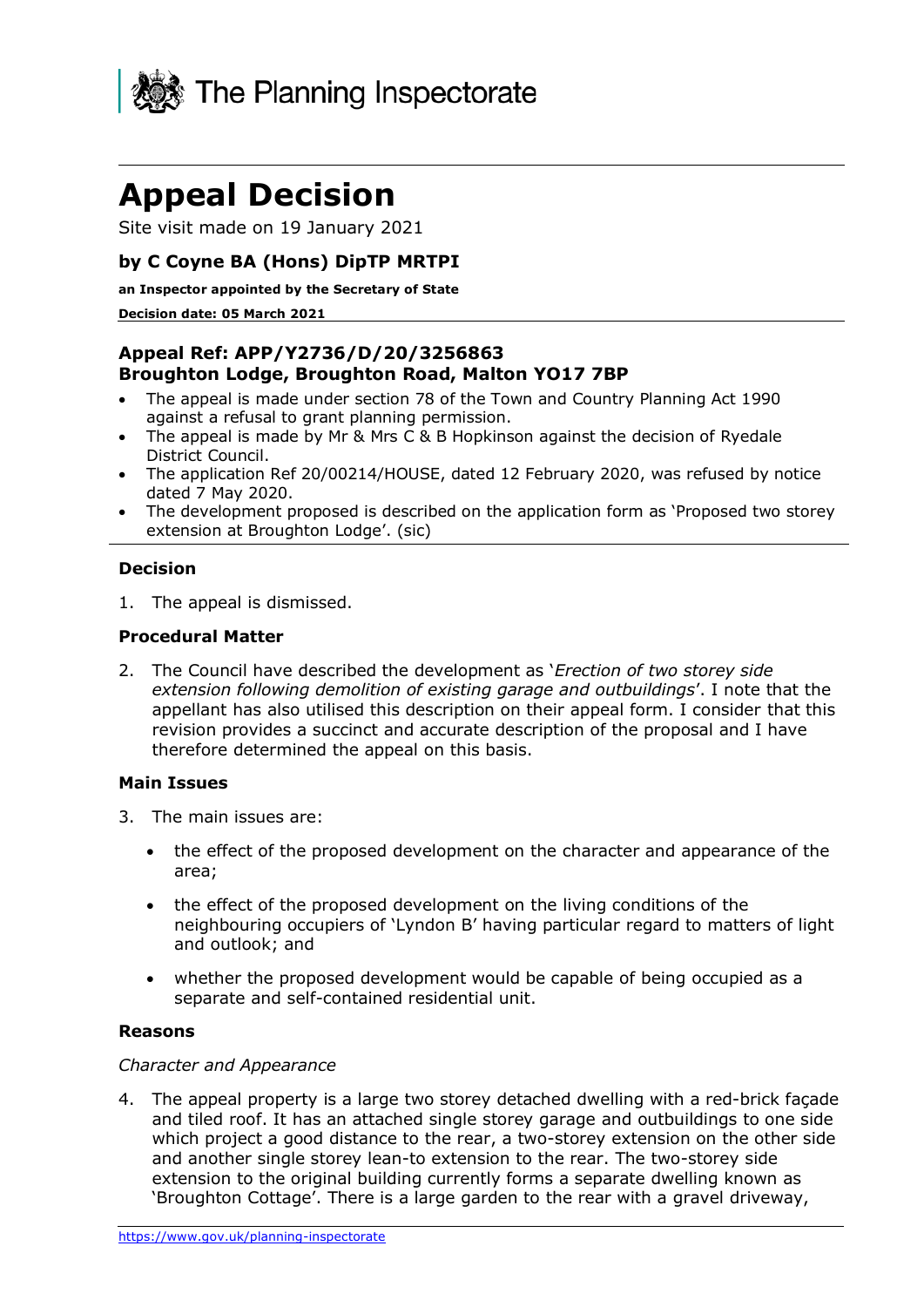

# **Appeal Decision**

Site visit made on 19 January 2021

# **by C Coyne BA (Hons) DipTP MRTPI**

**an Inspector appointed by the Secretary of State** 

#### **Decision date: 05 March 2021**

# **Appeal Ref: APP/Y2736/D/20/3256863 Broughton Lodge, Broughton Road, Malton YO17 7BP**

- The appeal is made under section 78 of the Town and Country Planning Act 1990 against a refusal to grant planning permission.
- The appeal is made by Mr & Mrs C & B Hopkinson against the decision of Ryedale District Council.
- The application Ref 20/00214/HOUSE, dated 12 February 2020, was refused by notice dated 7 May 2020.
- The development proposed is described on the application form as 'Proposed two storey extension at Broughton Lodge'. (sic)

#### **Decision**

1. The appeal is dismissed.

#### **Procedural Matter**

2. The Council have described the development as '*Erection of two storey side extension following demolition of existing garage and outbuildings*'. I note that the appellant has also utilised this description on their appeal form. I consider that this revision provides a succinct and accurate description of the proposal and I have therefore determined the appeal on this basis.

#### **Main Issues**

- 3. The main issues are:
	- the effect of the proposed development on the character and appearance of the area;
	- the effect of the proposed development on the living conditions of the neighbouring occupiers of 'Lyndon B' having particular regard to matters of light and outlook; and
	- whether the proposed development would be capable of being occupied as a separate and self-contained residential unit.

#### **Reasons**

#### *Character and Appearance*

4. The appeal property is a large two storey detached dwelling with a red-brick façade and tiled roof. It has an attached single storey garage and outbuildings to one side which project a good distance to the rear, a two-storey extension on the other side and another single storey lean-to extension to the rear. The two-storey side extension to the original building currently forms a separate dwelling known as 'Broughton Cottage'. There is a large garden to the rear with a gravel driveway,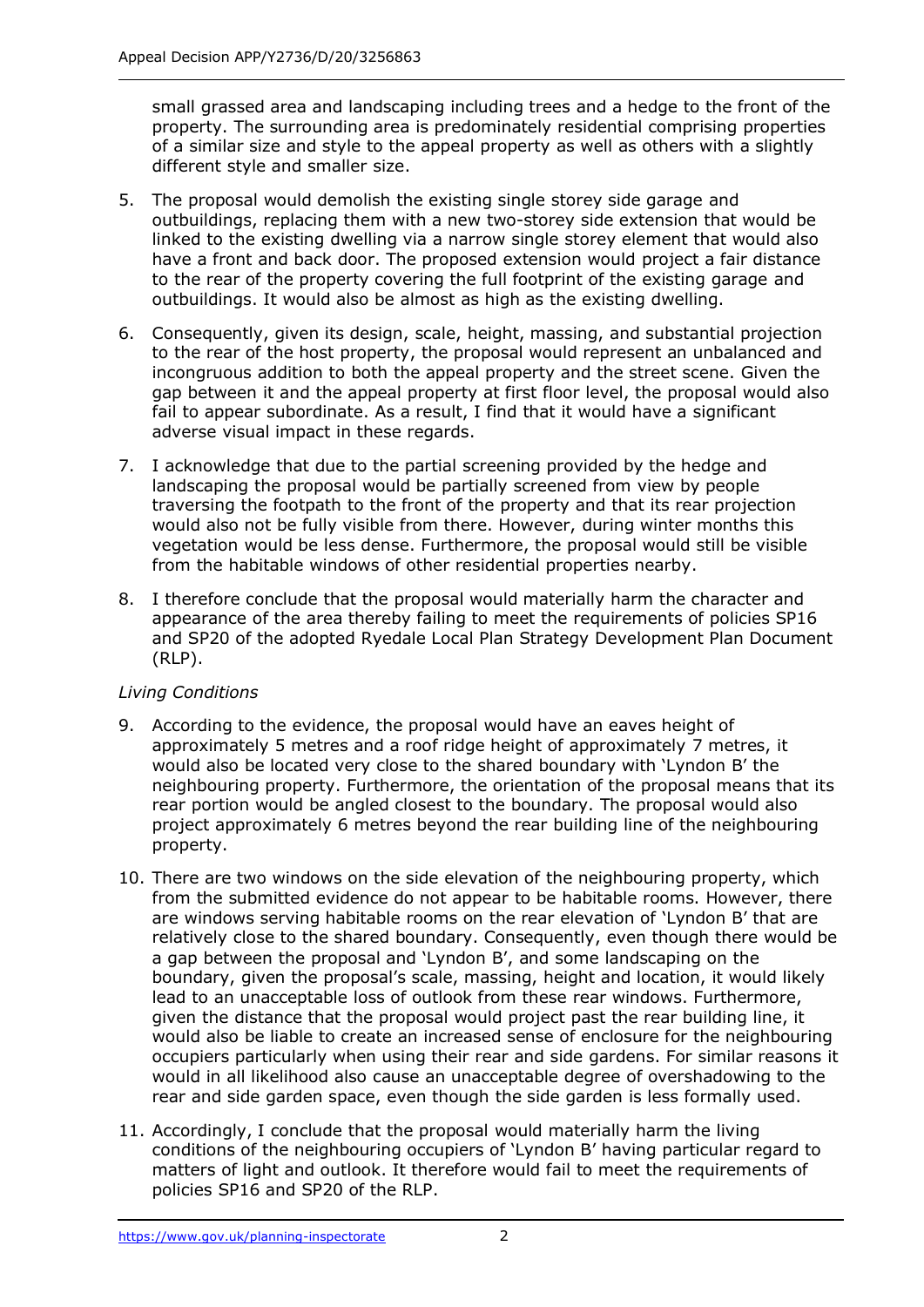small grassed area and landscaping including trees and a hedge to the front of the property. The surrounding area is predominately residential comprising properties of a similar size and style to the appeal property as well as others with a slightly different style and smaller size.

- 5. The proposal would demolish the existing single storey side garage and outbuildings, replacing them with a new two-storey side extension that would be linked to the existing dwelling via a narrow single storey element that would also have a front and back door. The proposed extension would project a fair distance to the rear of the property covering the full footprint of the existing garage and outbuildings. It would also be almost as high as the existing dwelling.
- 6. Consequently, given its design, scale, height, massing, and substantial projection to the rear of the host property, the proposal would represent an unbalanced and incongruous addition to both the appeal property and the street scene. Given the gap between it and the appeal property at first floor level, the proposal would also fail to appear subordinate. As a result, I find that it would have a significant adverse visual impact in these regards.
- 7. I acknowledge that due to the partial screening provided by the hedge and landscaping the proposal would be partially screened from view by people traversing the footpath to the front of the property and that its rear projection would also not be fully visible from there. However, during winter months this vegetation would be less dense. Furthermore, the proposal would still be visible from the habitable windows of other residential properties nearby.
- 8. I therefore conclude that the proposal would materially harm the character and appearance of the area thereby failing to meet the requirements of policies SP16 and SP20 of the adopted Ryedale Local Plan Strategy Development Plan Document (RLP).

## *Living Conditions*

- 9. According to the evidence, the proposal would have an eaves height of approximately 5 metres and a roof ridge height of approximately 7 metres, it would also be located very close to the shared boundary with 'Lyndon B' the neighbouring property. Furthermore, the orientation of the proposal means that its rear portion would be angled closest to the boundary. The proposal would also project approximately 6 metres beyond the rear building line of the neighbouring property.
- 10. There are two windows on the side elevation of the neighbouring property, which from the submitted evidence do not appear to be habitable rooms. However, there are windows serving habitable rooms on the rear elevation of 'Lyndon B' that are relatively close to the shared boundary. Consequently, even though there would be a gap between the proposal and 'Lyndon B', and some landscaping on the boundary, given the proposal's scale, massing, height and location, it would likely lead to an unacceptable loss of outlook from these rear windows. Furthermore, given the distance that the proposal would project past the rear building line, it would also be liable to create an increased sense of enclosure for the neighbouring occupiers particularly when using their rear and side gardens. For similar reasons it would in all likelihood also cause an unacceptable degree of overshadowing to the rear and side garden space, even though the side garden is less formally used.
- 11. Accordingly, I conclude that the proposal would materially harm the living conditions of the neighbouring occupiers of 'Lyndon B' having particular regard to matters of light and outlook. It therefore would fail to meet the requirements of policies SP16 and SP20 of the RLP.